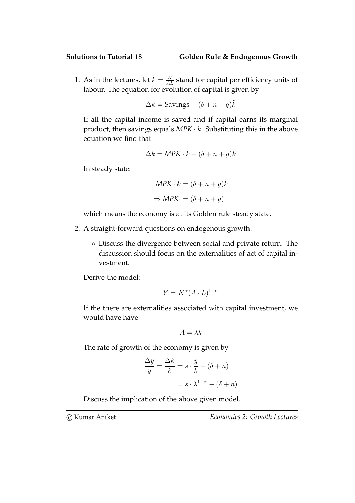1. As in the lectures, let  $\tilde{k} = \frac{K}{AL}$  stand for capital per efficiency units of labour. The equation for evolution of capital is given by

$$
\Delta k = \text{Savings} - (\delta + n + g)\tilde{k}
$$

If all the capital income is saved and if capital earns its marginal product, then savings equals MPK  $\cdot$   $\tilde{k}$ . Substituting this in the above equation we find that

$$
\Delta k = MPK \cdot \tilde{k} - (\delta + n + g)\tilde{k}
$$

In steady state:

$$
MPK \cdot \tilde{k} = (\delta + n + g)\tilde{k}
$$

$$
\Rightarrow MPK \cdot = (\delta + n + g)
$$

which means the economy is at its Golden rule steady state.

- 2. A straight-forward questions on endogenous growth.
	- Discuss the divergence between social and private return. The discussion should focus on the externalities of act of capital investment.

Derive the model:

$$
Y = K^{\alpha} (A \cdot L)^{1-\alpha}
$$

If the there are externalities associated with capital investment, we would have have

$$
A = \lambda k
$$

The rate of growth of the economy is given by

$$
\frac{\Delta y}{y} = \frac{\Delta k}{k} = s \cdot \frac{y}{k} - (\delta + n)
$$

$$
= s \cdot \lambda^{1-\alpha} - (\delta + n)
$$

Discuss the implication of the above given model.

c Kumar Aniket Economics 2: Growth Lectures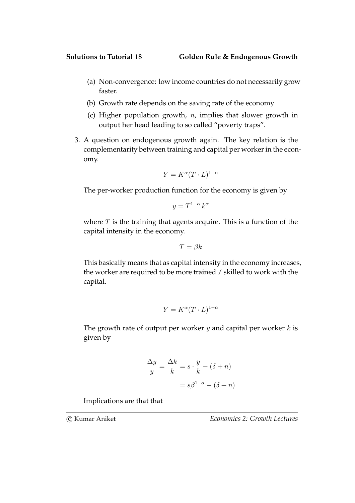- (a) Non-convergence: low income countries do not necessarily grow faster.
- (b) Growth rate depends on the saving rate of the economy
- (c) Higher population growth,  $n$ , implies that slower growth in output her head leading to so called "poverty traps".
- 3. A question on endogenous growth again. The key relation is the complementarity between training and capital per worker in the economy.

$$
Y = K^{\alpha} (T \cdot L)^{1 - \alpha}
$$

The per-worker production function for the economy is given by

$$
y = T^{1-\alpha} k^{\alpha}
$$

where  $T$  is the training that agents acquire. This is a function of the capital intensity in the economy.

$$
T=\beta k
$$

This basically means that as capital intensity in the economy increases, the worker are required to be more trained / skilled to work with the capital.

$$
Y = K^{\alpha} (T \cdot L)^{1 - \alpha}
$$

The growth rate of output per worker  $y$  and capital per worker  $k$  is given by

$$
\frac{\Delta y}{y} = \frac{\Delta k}{k} = s \cdot \frac{y}{k} - (\delta + n)
$$

$$
= s\beta^{1-\alpha} - (\delta + n)
$$

Implications are that that

c Kumar Aniket Economics 2: Growth Lectures